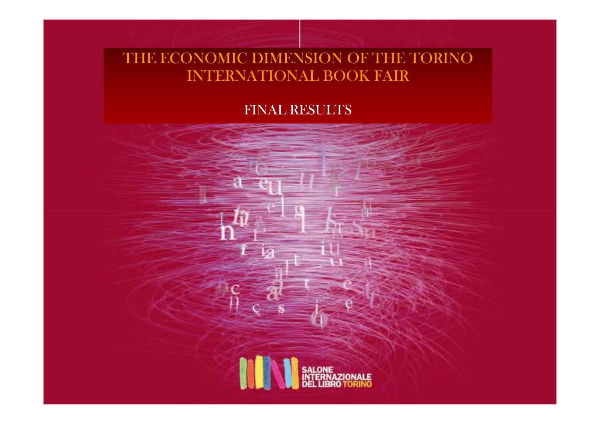## THE ECONOMIC DIMENSION OF THE TORINO INTERNATIONAL BOOK FAIR

#### FINAL RESULTS

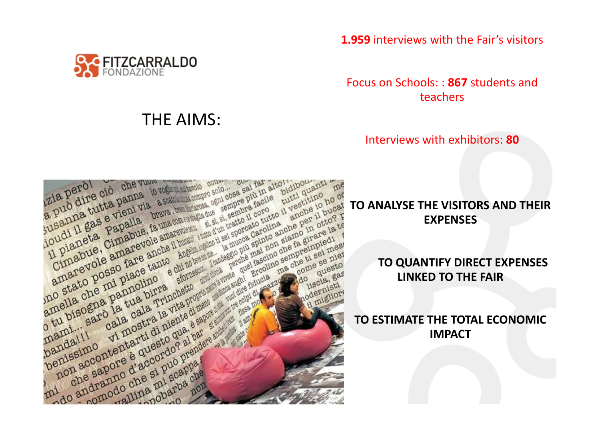

### THE AIMS:

**1.959** interviews with the Fair's visitors

Focus on Schools: : **867** students and teachers

Interviews with exhibitors: **<sup>80</sup>**



# **EXPENSES**

**TO QUANTIFY DIRECT EXPENSES LINKED TO THE FAIR**

**TO ESTIMATE THE TOTAL ECONOMIC IMPACT**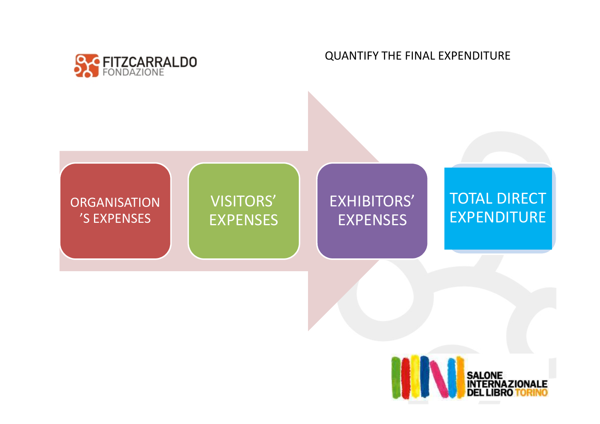

QUANTIFY THE FINAL EXPENDITURE

# **ORGANISATION**  'S EXPENSES VISITORS' EXPENSES EXHIBITORS' EXPENSESTOTAL DIRECT EXPENDITURE

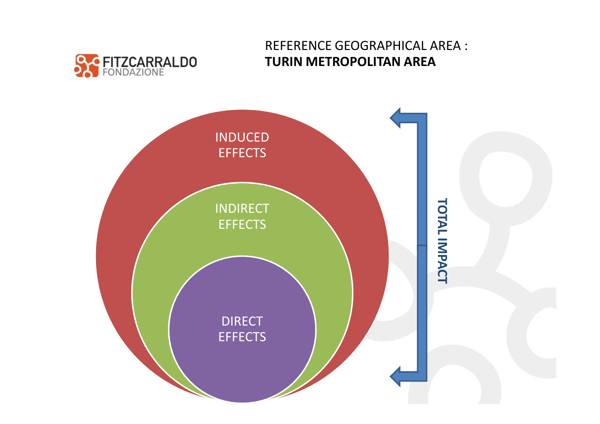

#### REFERENCE GEOGRAPHICAL AREA : **TURIN METROPOLITAN AREA**

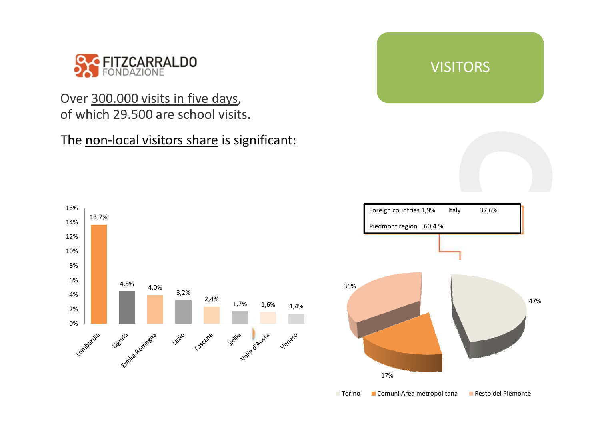

#### Over 300.000 visits in five days, of which 29.500 are school visits.

#### The non-local visitors share is significant:



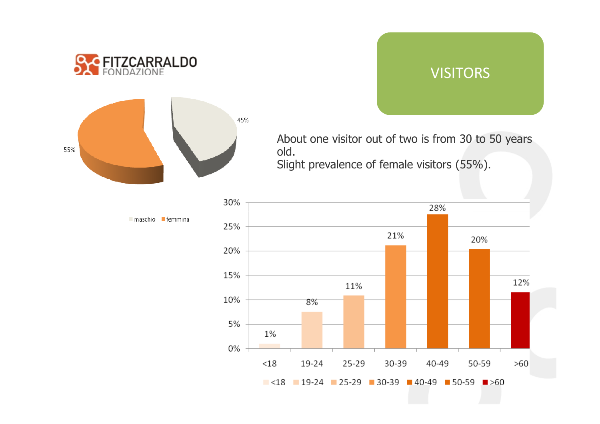





About one visitor out of two is from 30 to 50 yearsold. Slight prevalence of female visitors (55%).



 $\blacksquare$  maschio  $\blacksquare$  femmina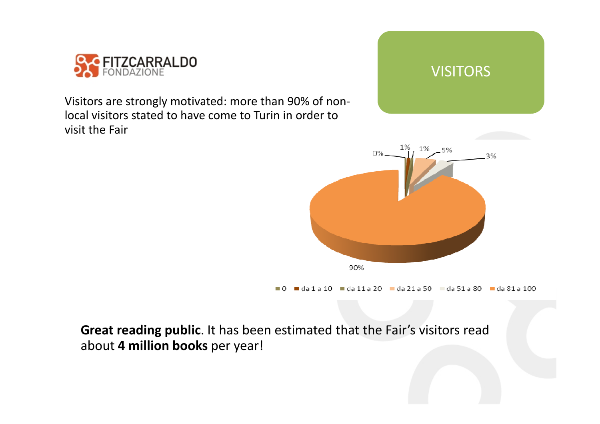

Visitors are strongly motivated: more than 90% of nonlocal visitors stated to have come to Turin in order tovisit the Fair





 $\blacksquare$ da 1 a 10  $\blacksquare$ da 11 a 20  $\blacksquare$ da 21 a 50  $\blacksquare$ da 31  $\blacksquare$ da 31 a 100  $\Box$   $\cap$ 

**Great reading public**. It has been estimated that the Fair's visitors read about **4 million books** per year!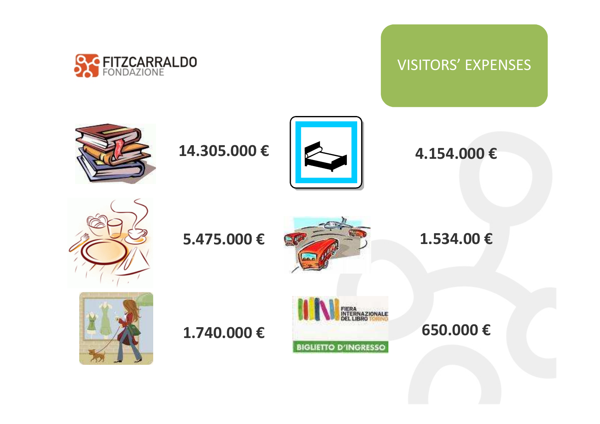

### VISITORS' EXPENSES



**14.305.000 €**



**4.154.000 €**



**5.475.000 €**





**1.740.000 €**



**650.000 €**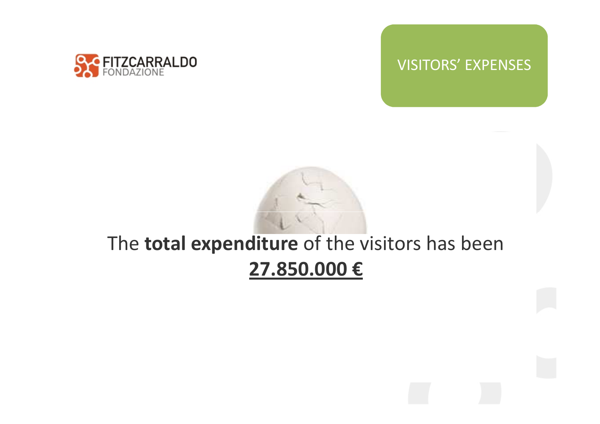

#### VISITORS' EXPENSES



## The **total expenditure** of the visitors has been**27.850.000 €**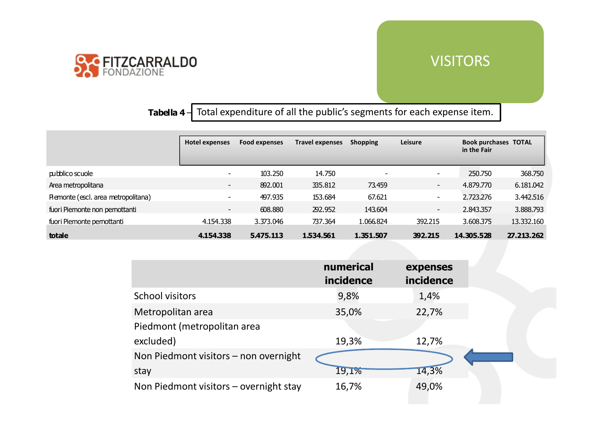

#### VISITORS

**Tabella 4** – Total expenditure of all the public's segments for each expense item.

|                                     | <b>Hotel expenses</b>    | <b>Food expenses</b> | <b>Travel expenses</b> | <b>Shopping</b>          | Leisure                  | <b>Book purchases TOTAL</b><br>in the Fair |            |
|-------------------------------------|--------------------------|----------------------|------------------------|--------------------------|--------------------------|--------------------------------------------|------------|
| pubblico scuole                     | $\overline{\phantom{a}}$ | 103.250              | 14.750                 | $\overline{\phantom{a}}$ | $\overline{\phantom{a}}$ | 250.750                                    | 368.750    |
| Area metropolitana                  | $\overline{\phantom{a}}$ | 892.001              | 335.812                | 73.459                   | $\sim$                   | 4.879.770                                  | 6.181.042  |
| Piemonte (escl. area metropolitana) | $\overline{\phantom{a}}$ | 497.935              | 153.684                | 67.621                   | $\sim$                   | 2.723.276                                  | 3.442.516  |
| fuori Piemonte non pernottanti      | $\sim$                   | 608.880              | 292.952                | 143.604                  | $\sim$                   | 2.843.357                                  | 3.888.793  |
| fuori Piemonte pernottanti          | 4.154.338                | 3.373.046            | 737.364                | 1.066.824                | 392.215                  | 3.608.375                                  | 13.332.160 |
| totale                              | 4.154.338                | 5.475.113            | 1.534.561              | 1.351.507                | 392.215                  | 14.305.528                                 | 27.213.262 |

|                                          | numerical<br>incidence | expenses<br>incidence |
|------------------------------------------|------------------------|-----------------------|
| <b>School visitors</b>                   | 9,8%                   | 1,4%                  |
| Metropolitan area                        | 35,0%                  | 22,7%                 |
| Piedmont (metropolitan area              |                        |                       |
| excluded)                                | 19,3%                  | 12,7%                 |
| Non Piedmont visitors - non overnight    |                        |                       |
| stay                                     | 19,1%                  | 14,3%                 |
| Non Piedmont visitors $-$ overnight stay | 16,7%                  | 49,0%                 |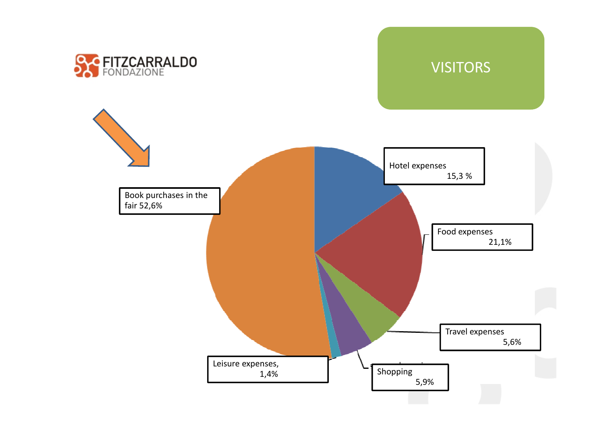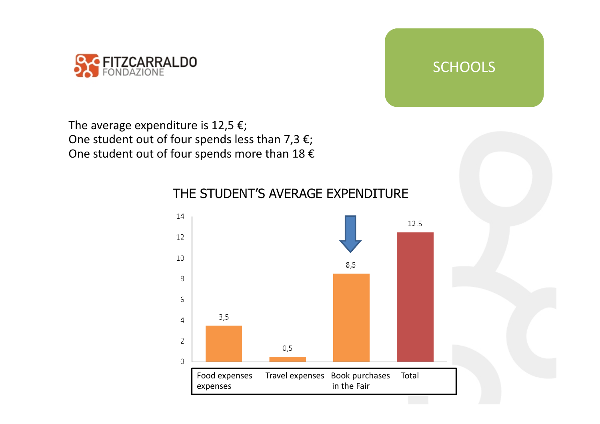



The average expenditure is 12,5  $\epsilon$ ; One student out of four spends less than 7,3  $\varepsilon$ ; One student out of four spends more than 18  $\epsilon$ 



#### THE STUDENT'S AVERAGE EXPENDITURE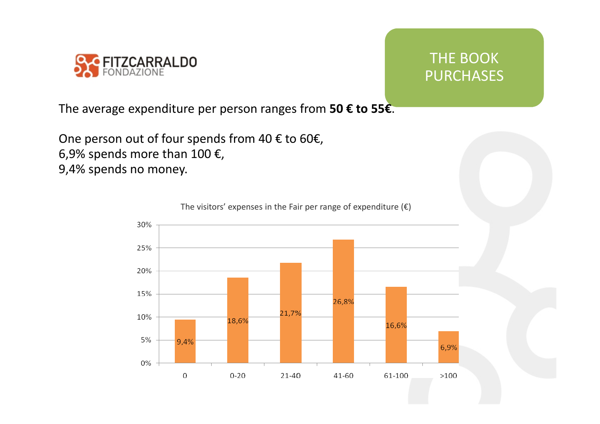

## THE BOOK **PURCHASES**

The average expenditure per person ranges from **50 € to 55€**.

One person out of four spends from 40 € to 60€, 6,9% spends more than 100  $\epsilon$ , 9,4% spends no money.

The visitors' expenses in the Fair per range of expenditure  $(\epsilon)$ 

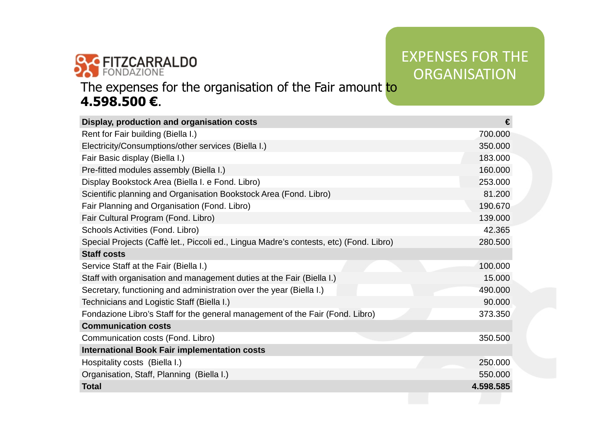

## EXPENSES FOR THE **ORGANISATION**

#### The expenses for the organisation of the Fair amount to **4.598.500 €**.

| Display, production and organisation costs                                             | €         |
|----------------------------------------------------------------------------------------|-----------|
| Rent for Fair building (Biella I.)                                                     | 700.000   |
| Electricity/Consumptions/other services (Biella I.)                                    | 350,000   |
| Fair Basic display (Biella I.)                                                         | 183.000   |
| Pre-fitted modules assembly (Biella I.)                                                | 160,000   |
| Display Bookstock Area (Biella I. e Fond. Libro)                                       | 253.000   |
| Scientific planning and Organisation Bookstock Area (Fond. Libro)                      | 81.200    |
| Fair Planning and Organisation (Fond. Libro)                                           | 190.670   |
| Fair Cultural Program (Fond. Libro)                                                    | 139.000   |
| Schools Activities (Fond. Libro)                                                       | 42.365    |
| Special Projects (Caffè let., Piccoli ed., Lingua Madre's contests, etc) (Fond. Libro) | 280.500   |
| <b>Staff costs</b>                                                                     |           |
| Service Staff at the Fair (Biella I.)                                                  | 100.000   |
| Staff with organisation and management duties at the Fair (Biella I.)                  | 15,000    |
| Secretary, functioning and administration over the year (Biella I.)                    | 490,000   |
| Technicians and Logistic Staff (Biella I.)                                             | 90.000    |
| Fondazione Libro's Staff for the general management of the Fair (Fond. Libro)          | 373,350   |
| <b>Communication costs</b>                                                             |           |
| Communication costs (Fond. Libro)                                                      | 350.500   |
| <b>International Book Fair implementation costs</b>                                    |           |
| Hospitality costs (Biella I.)                                                          | 250.000   |
| Organisation, Staff, Planning (Biella I.)                                              | 550,000   |
| <b>Total</b>                                                                           | 4.598.585 |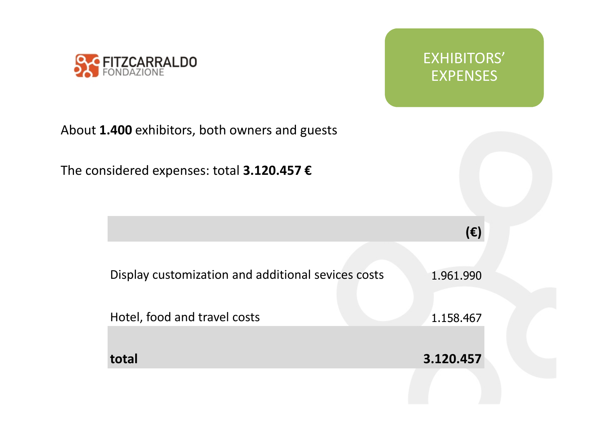

EXHIBITORS' EXPENSES

## About **1.400** exhibitors, both owners and guests

The considered expenses: total **3.120.457 €**

|                                                    | $(\epsilon)$ |  |
|----------------------------------------------------|--------------|--|
|                                                    |              |  |
| Display customization and additional sevices costs | 1.961.990    |  |
|                                                    |              |  |
| Hotel, food and travel costs                       | 1.158.467    |  |
|                                                    |              |  |
| total                                              | 3.120.457    |  |
|                                                    |              |  |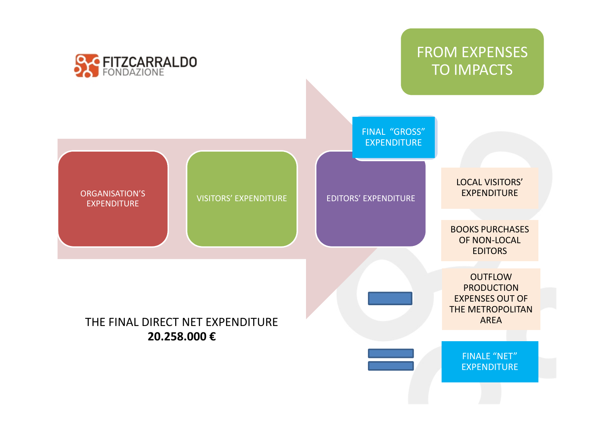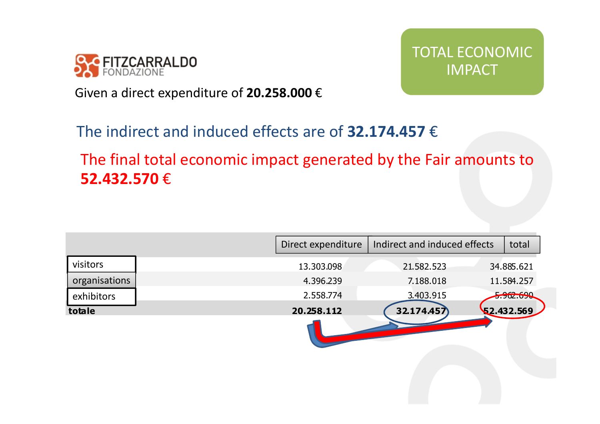

TOTAL ECONOMIC IMPACT

Given a direct expenditure of **20.258.000** €

## The indirect and induced effects are of **32.174.457** €

The final total economic impact generated by the Fair amounts to**52.432.570** €

|               | Direct expenditure | Indirect and induced effects | total      |
|---------------|--------------------|------------------------------|------------|
| visitors      | 13.303.098         | 21.582.523                   | 34.885.621 |
| organisations | 4.396.239          | 7.188.018                    | 11.584.257 |
| exhibitors    | 2.558.774          | 3.403.915                    | 5.962.690  |
| totale        | 20.258.112         | 32.174.457                   | 52.432.569 |
|               |                    |                              |            |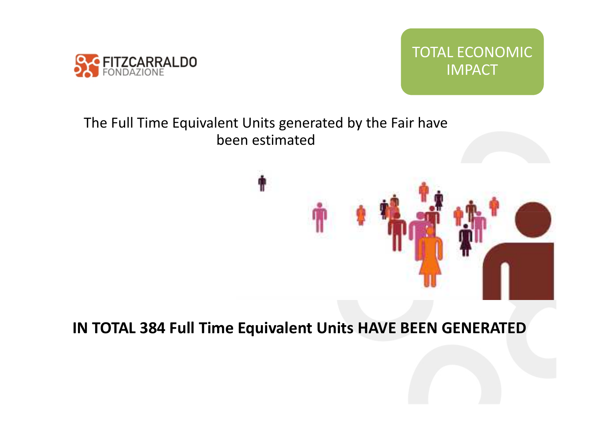



#### The Full Time Equivalent Units generated by the Fair have been estimated

## **IN TOTAL 384 Full Time Equivalent Units HAVE BEEN GENERATED**

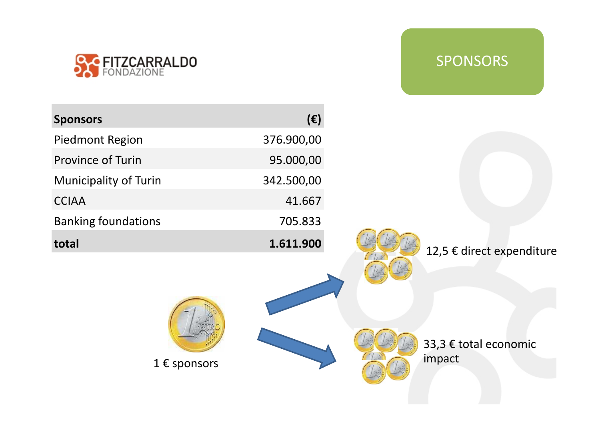

## SPONSORS